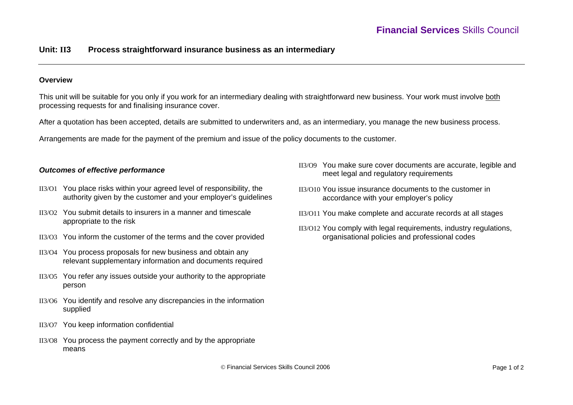# **Unit: II3 Process straightforward insurance business as an intermediary**

### **Overview**

This unit will be suitable for you only if you work for an intermediary dealing with straightforward new business. Your work must involve both processing requests for and finalising insurance cover.

After a quotation has been accepted, details are submitted to underwriters and, as an intermediary, you manage the new business process.

Arrangements are made for the payment of the premium and issue of the policy documents to the customer.

## *Outcomes of effective performance*

- II3/O1 You place risks within your agreed level of responsibility, the authority given by the customer and your employer's guidelines
- II3/O2 You submit details to insurers in a manner and timescale appropriate to the risk
- II3/O3 You inform the customer of the terms and the cover provided
- II3/O4 You process proposals for new business and obtain any relevant supplementary information and documents required
- II3/O5 You refer any issues outside your authority to the appropriate person
- II3/O6 You identify and resolve any discrepancies in the information supplied
- II3/O7 You keep information confidential
- II3/O8 You process the payment correctly and by the appropriate means
- II3/O9 You make sure cover documents are accurate, legible and meet legal and regulatory requirements
- II3/O10 You issue insurance documents to the customer in accordance with your employer's policy
- II3/O11 You make complete and accurate records at all stages
- II3/O12 You comply with legal requirements, industry regulations, organisational policies and professional codes